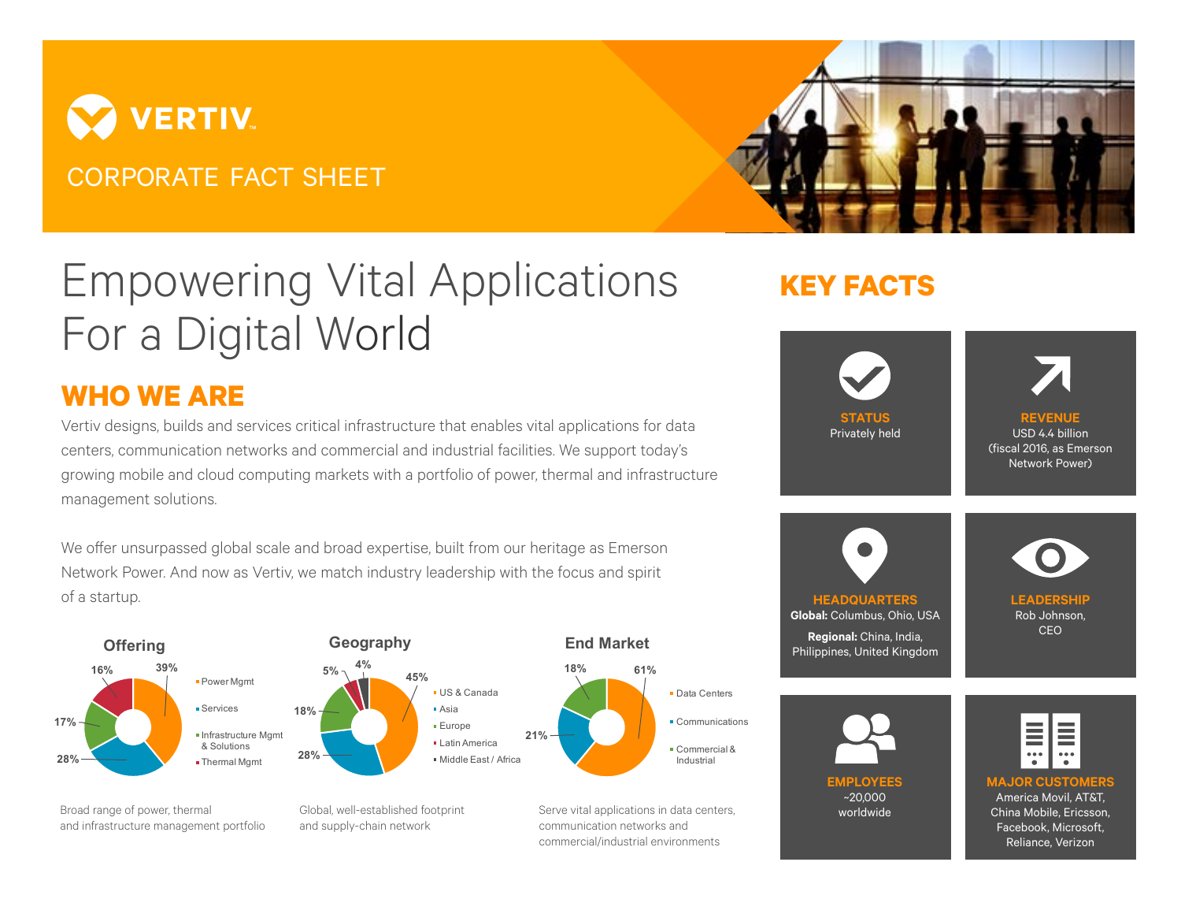## **VERTIV** CORPORATE FACT SHEET



# Empowering Vital Applications For a Digital World

### **WHO WE ARE**

Vertiv designs, builds and services critical infrastructure that enables vital applications for data centers, communication networks and commercial and industrial facilities. We support today's growing mobile and cloud computing markets with a portfolio of power, thermal and infrastructure management solutions.

We offer unsurpassed global scale and broad expertise, built from our heritage as Emerson Network Power. And now as Vertiv, we match industry leadership with the focus and spirit of a startup.



commercial/industrial environments

## **KEY FACTS**



#### Facebook, Microsoft, Reliance, Verizon